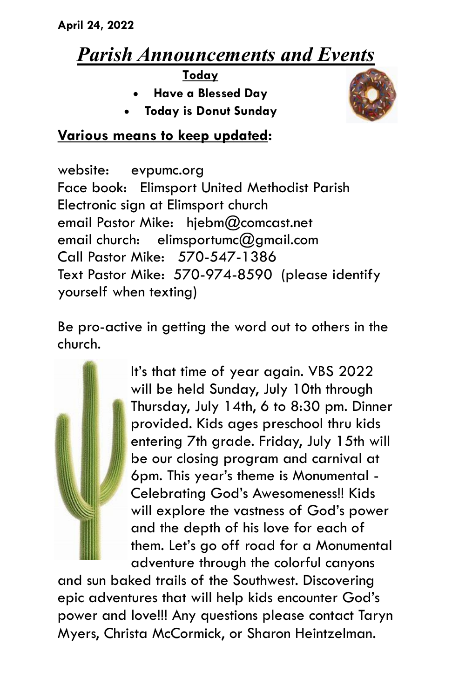## *Parish Announcements and Events*

**Today**

- **Have a Blessed Day**
- **Today is Donut Sunday**



## **Various means to keep updated:**

website: evpumc.org Face book: Elimsport United Methodist Parish Electronic sign at Elimsport church email Pastor Mike: hjebm@comcast.net email church: elimsportumc $@$ amail.com Call Pastor Mike: 570-547-1386 Text Pastor Mike: 570-974-8590 (please identify yourself when texting)

Be pro-active in getting the word out to others in the church.



It's that time of year again. VBS 2022 will be held Sunday, July 10th through Thursday, July 14th, 6 to 8:30 pm. Dinner provided. Kids ages preschool thru kids entering 7th grade. Friday, July 15th will be our closing program and carnival at 6pm. This year's theme is Monumental - Celebrating God's Awesomeness!! Kids will explore the vastness of God's power and the depth of his love for each of them. Let's go off road for a Monumental adventure through the colorful canyons

and sun baked trails of the Southwest. Discovering epic adventures that will help kids encounter God's power and love!!! Any questions please contact Taryn Myers, Christa McCormick, or Sharon Heintzelman.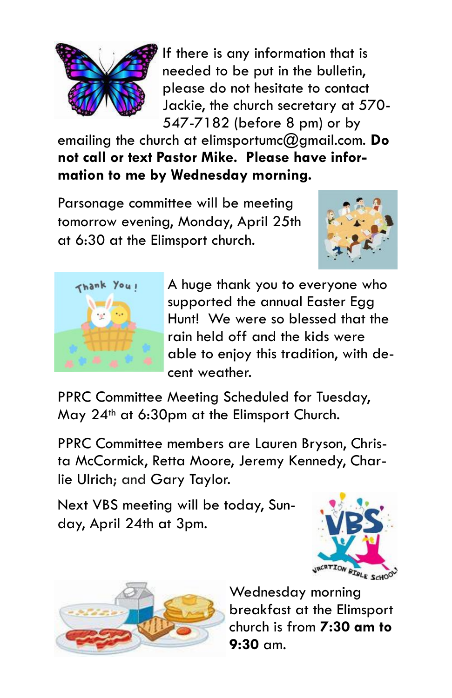

If there is any information that is needed to be put in the bulletin, please do not hesitate to contact Jackie, the church secretary at 570- 547-7182 (before 8 pm) or by

emailing the church at elimsportumc@gmail.com. **Do not call or text Pastor Mike. Please have information to me by Wednesday morning.**

Parsonage committee will be meeting tomorrow evening, Monday, April 25th at 6:30 at the Elimsport church.





A huge thank you to everyone who supported the annual Easter Egg Hunt! We were so blessed that the rain held off and the kids were able to enjoy this tradition, with decent weather.

PPRC Committee Meeting Scheduled for Tuesday, May 24th at 6:30pm at the Elimsport Church.

PPRC Committee members are Lauren Bryson, Christa McCormick, Retta Moore, Jeremy Kennedy, Charlie Ulrich; and Gary Taylor.

Next VBS meeting will be today, Sunday, April 24th at 3pm.





Wednesday morning breakfast at the Elimsport church is from **7:30 am to 9:30** am.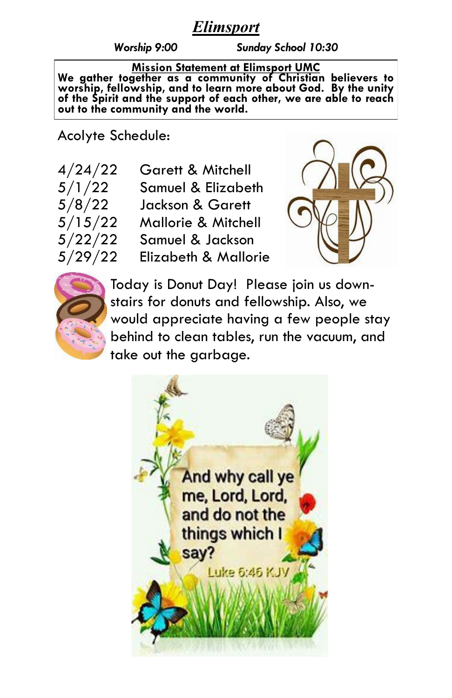## *Elimsport*

*Worship 9:00 Sunday School 10:30*

**Mission Statement at Elimsport UMC We gather together as a community of Christian believers to worship, fellowship, and to learn more about God. By the unity of the Spirit and the support of each other, we are able to reach out to the community and the world.**

Acolyte Schedule:

4/24/22 Garett & Mitchell 5/1/22 Samuel & Elizabeth 5/8/22 Jackson & Garett  $5/15/22$  Mallorie & Mitchell  $5/22/22$  Samuel & Jackson 5/29/22 Elizabeth & Mallorie





Today is Donut Day! Please join us downstairs for donuts and fellowship. Also, we would appreciate having a few people stay behind to clean tables, run the vacuum, and take out the garbage.